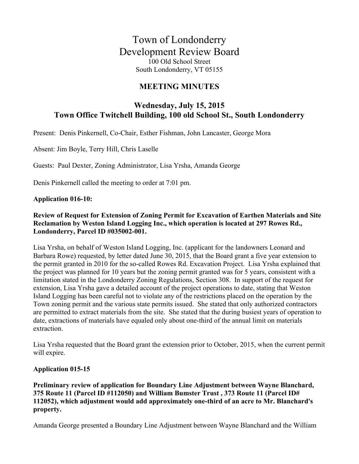# Town of Londonderry Development Review Board 100 Old School Street South Londonderry, VT 05155

# **MEETING MINUTES**

# **Wednesday, July 15, 2015 Town Office Twitchell Building, 100 old School St., South Londonderry**

Present: Denis Pinkernell, Co-Chair, Esther Fishman, John Lancaster, George Mora

Absent: Jim Boyle, Terry Hill, Chris Laselle

Guests: Paul Dexter, Zoning Administrator, Lisa Yrsha, Amanda George

Denis Pinkernell called the meeting to order at 7:01 pm.

#### **Application 016-10:**

### **Review of Request for Extension of Zoning Permit for Excavation of Earthen Materials and Site Reclamation by Weston Island Logging Inc., which operation is located at 297 Rowes Rd., Londonderry, Parcel ID #035002-001.**

Lisa Yrsha, on behalf of Weston Island Logging, Inc. (applicant for the landowners Leonard and Barbara Rowe) requested, by letter dated June 30, 2015, that the Board grant a five year extension to the permit granted in 2010 for the so-called Rowes Rd. Excavation Project. Lisa Yrsha explained that the project was planned for 10 years but the zoning permit granted was for 5 years, consistent with a limitation stated in the Londonderry Zoning Regulations, Section 308. In support of the request for extension, Lisa Yrsha gave a detailed account of the project operations to date, stating that Weston Island Logging has been careful not to violate any of the restrictions placed on the operation by the Town zoning permit and the various state permits issued. She stated that only authorized contractors are permitted to extract materials from the site. She stated that the during busiest years of operation to date, extractions of materials have equaled only about one-third of the annual limit on materials extraction.

Lisa Yrsha requested that the Board grant the extension prior to October, 2015, when the current permit will expire.

### **Application 015-15**

**Preliminary review of application for Boundary Line Adjustment between Wayne Blanchard, 375 Route 11 (Parcel ID #112050) and William Bumster Trust , 373 Route 11 (Parcel ID# 112052), which adjustment would add approximately one-third of an acre to Mr. Blanchard's property.** 

Amanda George presented a Boundary Line Adjustment between Wayne Blanchard and the William